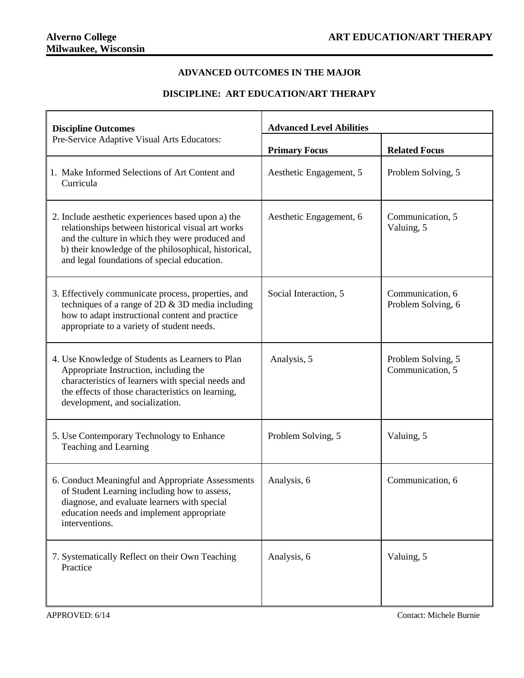## **ADVANCED OUTCOMES IN THE MAJOR**

## **DISCIPLINE: ART EDUCATION/ART THERAPY**

| <b>Discipline Outcomes</b><br>Pre-Service Adaptive Visual Arts Educators:                                                                                                                                                                                         | <b>Advanced Level Abilities</b> |                                        |
|-------------------------------------------------------------------------------------------------------------------------------------------------------------------------------------------------------------------------------------------------------------------|---------------------------------|----------------------------------------|
|                                                                                                                                                                                                                                                                   | <b>Primary Focus</b>            | <b>Related Focus</b>                   |
| 1. Make Informed Selections of Art Content and<br>Curricula                                                                                                                                                                                                       | Aesthetic Engagement, 5         | Problem Solving, 5                     |
| 2. Include aesthetic experiences based upon a) the<br>relationships between historical visual art works<br>and the culture in which they were produced and<br>b) their knowledge of the philosophical, historical,<br>and legal foundations of special education. | Aesthetic Engagement, 6         | Communication, 5<br>Valuing, 5         |
| 3. Effectively communicate process, properties, and<br>techniques of a range of $2D \& 3D$ media including<br>how to adapt instructional content and practice<br>appropriate to a variety of student needs.                                                       | Social Interaction, 5           | Communication, 6<br>Problem Solving, 6 |
| 4. Use Knowledge of Students as Learners to Plan<br>Appropriate Instruction, including the<br>characteristics of learners with special needs and<br>the effects of those characteristics on learning,<br>development, and socialization.                          | Analysis, 5                     | Problem Solving, 5<br>Communication, 5 |
| 5. Use Contemporary Technology to Enhance<br>Teaching and Learning                                                                                                                                                                                                | Problem Solving, 5              | Valuing, 5                             |
| 6. Conduct Meaningful and Appropriate Assessments<br>of Student Learning including how to assess,<br>diagnose, and evaluate learners with special<br>education needs and implement appropriate<br>interventions.                                                  | Analysis, 6                     | Communication, 6                       |
| 7. Systematically Reflect on their Own Teaching<br>Practice                                                                                                                                                                                                       | Analysis, 6                     | Valuing, 5                             |